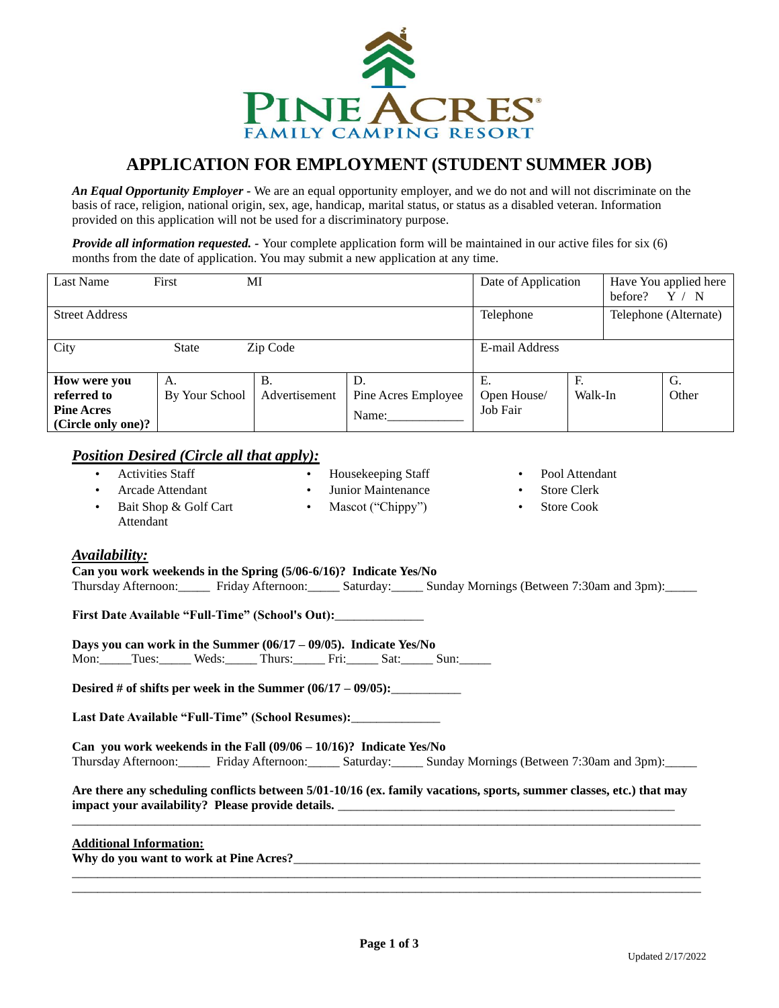

# **APPLICATION FOR EMPLOYMENT (STUDENT SUMMER JOB)**

*An Equal Opportunity Employer -* We are an equal opportunity employer, and we do not and will not discriminate on the basis of race, religion, national origin, sex, age, handicap, marital status, or status as a disabled veteran. Information provided on this application will not be used for a discriminatory purpose.

*Provide all information requested. -* Your complete application form will be maintained in our active files for six (6) months from the date of application. You may submit a new application at any time.

| Last Name             | First          | MI            |                     | Date of Application |         | Have You applied here<br>before?<br>$^{\prime}$ N |                       |
|-----------------------|----------------|---------------|---------------------|---------------------|---------|---------------------------------------------------|-----------------------|
| <b>Street Address</b> |                |               |                     | Telephone           |         |                                                   | Telephone (Alternate) |
| City                  | <b>State</b>   | Zip Code      |                     | E-mail Address      |         |                                                   |                       |
| How were you          | А.             | Β.            | D.                  | Е.                  | F.      |                                                   | G.                    |
| referred to           | By Your School | Advertisement | Pine Acres Employee | Open House/         | Walk-In |                                                   | Other                 |
| <b>Pine Acres</b>     |                |               | Name:               | Job Fair            |         |                                                   |                       |
| (Circle only one)?    |                |               |                     |                     |         |                                                   |                       |

#### *Position Desired (Circle all that apply):*

- Activities Staff • Arcade Attendant • Bait Shop & Golf Cart • Housekeeping Staff Junior Maintenance • Mascot ("Chippy")
- Pool Attendant
- **Store Clerk**
- Store Cook

Attendant

### *Availability:*

**Can you work weekends in the Spring (5/06-6/16)? Indicate Yes/No** Thursday Afternoon:\_\_\_\_\_ Friday Afternoon:\_\_\_\_\_ Saturday:\_\_\_\_\_ Sunday Mornings (Between 7:30am and 3pm):\_\_\_\_\_

**First Date Available "Full-Time" (School's Out):**\_\_\_\_\_\_\_\_\_\_\_\_\_\_

**Days you can work in the Summer (06/17 – 09/05). Indicate Yes/No**

Mon: Tues: Weds: Thurs: Fri: Sat: Sun: \_\_\_\_

**Desired # of shifts per week in the Summer**  $(06/17 - 09/05)$ **:** 

**Last Date Available "Full-Time" (School Resumes):**\_\_\_\_\_\_\_\_\_\_\_\_\_\_

**Can you work weekends in the Fall (09/06 – 10/16)? Indicate Yes/No** Thursday Afternoon:\_\_\_\_\_ Friday Afternoon:\_\_\_\_\_ Saturday:\_\_\_\_\_ Sunday Mornings (Between 7:30am and 3pm):\_\_\_\_\_

**Are there any scheduling conflicts between 5/01-10/16 (ex. family vacations, sports, summer classes, etc.) that may impact your availability? Please provide details.** \_\_\_\_\_\_\_\_\_\_\_\_\_\_\_\_\_\_\_\_\_\_\_\_\_\_\_\_\_\_\_\_\_\_\_\_\_\_\_\_\_\_\_\_\_\_\_\_\_\_\_\_\_ \_\_\_\_\_\_\_\_\_\_\_\_\_\_\_\_\_\_\_\_\_\_\_\_\_\_\_\_\_\_\_\_\_\_\_\_\_\_\_\_\_\_\_\_\_\_\_\_\_\_\_\_\_\_\_\_\_\_\_\_\_\_\_\_\_\_\_\_\_\_\_\_\_\_\_\_\_\_\_\_\_\_\_\_\_\_\_\_\_\_\_\_\_\_\_\_\_\_\_

#### **Additional Information:**

**Why do you want to work at Pine Acres?**\_\_\_\_\_\_\_\_\_\_\_\_\_\_\_\_\_\_\_\_\_\_\_\_\_\_\_\_\_\_\_\_\_\_\_\_\_\_\_\_\_\_\_\_\_\_\_\_\_\_\_\_\_\_\_\_\_\_\_\_\_\_\_\_

\_\_\_\_\_\_\_\_\_\_\_\_\_\_\_\_\_\_\_\_\_\_\_\_\_\_\_\_\_\_\_\_\_\_\_\_\_\_\_\_\_\_\_\_\_\_\_\_\_\_\_\_\_\_\_\_\_\_\_\_\_\_\_\_\_\_\_\_\_\_\_\_\_\_\_\_\_\_\_\_\_\_\_\_\_\_\_\_\_\_\_\_\_\_\_\_\_\_\_ \_\_\_\_\_\_\_\_\_\_\_\_\_\_\_\_\_\_\_\_\_\_\_\_\_\_\_\_\_\_\_\_\_\_\_\_\_\_\_\_\_\_\_\_\_\_\_\_\_\_\_\_\_\_\_\_\_\_\_\_\_\_\_\_\_\_\_\_\_\_\_\_\_\_\_\_\_\_\_\_\_\_\_\_\_\_\_\_\_\_\_\_\_\_\_\_\_\_\_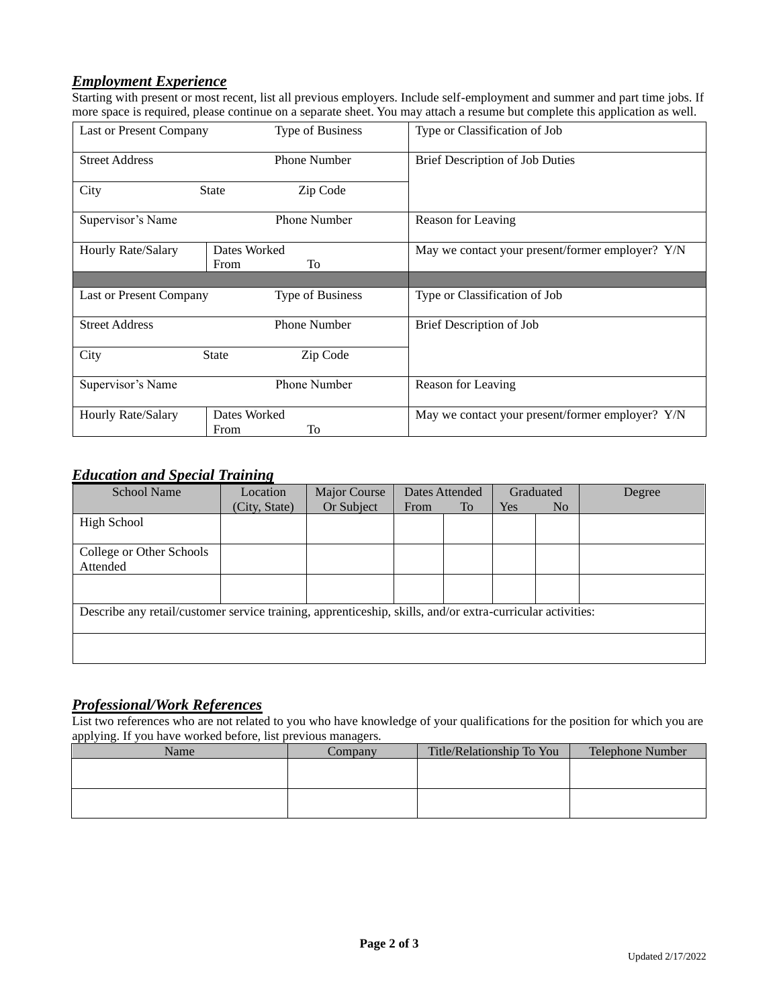## *Employment Experience*

Starting with present or most recent, list all previous employers. Include self-employment and summer and part time jobs. If more space is required, please continue on a separate sheet. You may attach a resume but complete this application as well.

| Last or Present Company | <b>Type of Business</b>    | Type or Classification of Job                    |  |  |
|-------------------------|----------------------------|--------------------------------------------------|--|--|
| <b>Street Address</b>   | <b>Phone Number</b>        | Brief Description of Job Duties                  |  |  |
| City                    | <b>State</b><br>Zip Code   |                                                  |  |  |
| Supervisor's Name       | Phone Number               | Reason for Leaving                               |  |  |
| Hourly Rate/Salary      | Dates Worked<br>To<br>From | May we contact your present/former employer? Y/N |  |  |
|                         |                            |                                                  |  |  |
| Last or Present Company | Type of Business           | Type or Classification of Job                    |  |  |
| <b>Street Address</b>   | <b>Phone Number</b>        | Brief Description of Job                         |  |  |
| City                    | <b>State</b><br>Zip Code   |                                                  |  |  |
| Supervisor's Name       | Phone Number               | Reason for Leaving                               |  |  |
| Hourly Rate/Salary      | Dates Worked<br>To<br>From | May we contact your present/former employer? Y/N |  |  |

### *Education and Special Training*

| <b>School Name</b>                                                                                         | Location      |            | Dates Attended |           | Graduated  |                | Degree |
|------------------------------------------------------------------------------------------------------------|---------------|------------|----------------|-----------|------------|----------------|--------|
|                                                                                                            | (City, State) | Or Subject | From           | <b>To</b> | <b>Yes</b> | N <sub>o</sub> |        |
| High School                                                                                                |               |            |                |           |            |                |        |
|                                                                                                            |               |            |                |           |            |                |        |
| College or Other Schools                                                                                   |               |            |                |           |            |                |        |
| Attended                                                                                                   |               |            |                |           |            |                |        |
|                                                                                                            |               |            |                |           |            |                |        |
|                                                                                                            |               |            |                |           |            |                |        |
| Describe any retail/customer service training, apprenticeship, skills, and/or extra-curricular activities: |               |            |                |           |            |                |        |
|                                                                                                            |               |            |                |           |            |                |        |
|                                                                                                            |               |            |                |           |            |                |        |
|                                                                                                            |               |            |                |           |            |                |        |

### *Professional/Work References*

List two references who are not related to you who have knowledge of your qualifications for the position for which you are applying. If you have worked before, list previous managers.

| Name | Company | Title/Relationship To You | <b>Telephone Number</b> |  |
|------|---------|---------------------------|-------------------------|--|
|      |         |                           |                         |  |
|      |         |                           |                         |  |
|      |         |                           |                         |  |
|      |         |                           |                         |  |